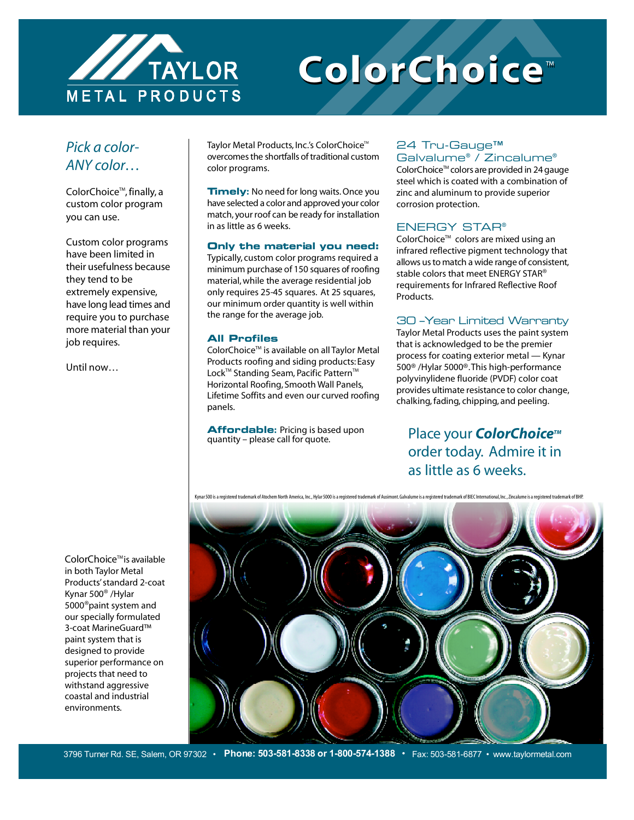

# **ColorChoice** ™ **ColorChoice** ™

## *Pick a color-ANY color…*

ColorChoice<sup>™</sup>, finally, a custom color program you can use.

Custom color programs have been limited in their usefulness because they tend to be extremely expensive, have long lead times and require you to purchase more material than your job requires.

Until now…

Taylor Metal Products, Inc.'s ColorChoice<sup>™</sup> overcomes the shortfalls of traditional custom color programs.

**Timely:** No need for long waits. Once you have selected a color and approved your color match, your roof can be ready for installation in as little as 6 weeks.

#### **Only the material you need:**

Typically, custom color programs required a minimum purchase of 150 squares of roofing material, while the average residential job only requires 25-45 squares. At 25 squares, our minimum order quantity is well within the range for the average job.

#### **All Profiles**

ColorChoice<sup>™</sup> is available on all Taylor Metal Products roofing and siding products: Easy Lock™ Standing Seam, Pacific Pattern™ Horizontal Roofing, Smooth Wall Panels, Lifetime Soffits and even our curved roofing panels.

**Affordable:** Pricing is based upon quantity – please call for quote.

#### 24 Tru-Gauge™ Galvalume® / Zincalume®

ColorChoice<sup>™</sup> colors are provided in 24 gauge steel which is coated with a combination of zinc and aluminum to provide superior corrosion protection.

### ENERGY STAR®

ColorChoice<sup>™</sup> colors are mixed using an infrared reflective pigment technology that allows us to match a wide range of consistent, stable colors that meet ENERGY STAR<sup>®</sup> requirements for Infrared Reflective Roof Products.

### 30 –Year Limited Warranty

Taylor Metal Products uses the paint system that is acknowledged to be the premier process for coating exterior metal — Kynar 500® /Hylar 5000®.This high-performance polyvinylidene fluoride (PVDF) color coat provides ultimate resistance to color change, chalking, fading, chipping, and peeling.

Place your **ColorChoice**<sup>™</sup> order today. Admire it in as little as 6 weeks.



ColorChoice<sup>™</sup> is available in both Taylor Metal Products' standard 2-coat Kynar 500® /Hylar 5000®paint system and our specially formulated 3-coat MarineGuard™ paint system that is designed to provide superior performance on projects that need to withstand aggressive coastal and industrial environments.